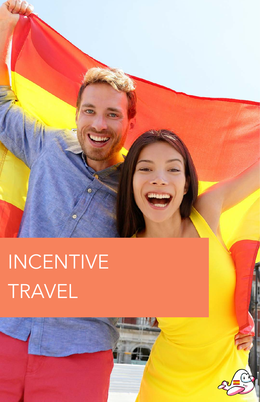

# INCENTIVE **TRAVEL**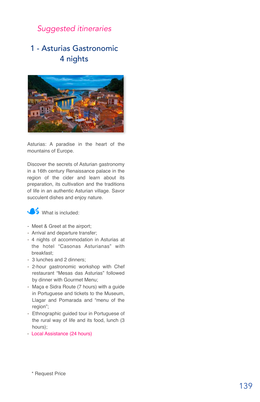## *Suggested itineraries*

# 1 - Asturias Gastronomic 4 nights



Asturias: A paradise in the heart of the mountains of Europe.

Discover the secrets of Asturian gastronomy in a 16th century Renaissance palace in the region of the cider and learn about its preparation, its cultivation and the traditions of life in an authentic Asturian village. Savor succulent dishes and enjoy nature.



- Meet & Greet at the airport;
- Arrival and departure transfer;
- 4 nights of accommodation in Asturias at the hotel "Casonas Asturianas" with breakfast;
- 3 lunches and 2 dinners;
- 2-hour gastronomic workshop with Chef restaurant "Mesas das Asturias" followed by dinner with Gourmet Menu;
- Maça e Sidra Route (7 hours) with a guide in Portuguese and tickets to the Museum, Llagar and Pomarada and "menu of the region";
- Ethnographic guided tour in Portuguese of the rural way of life and its food, lunch (3 hours);
- Local Assistance (24 hours)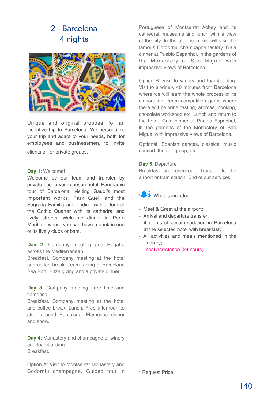# 2 - Barcelona 4 nights



Unique and original proposal for an incentive trip to Barcelona. We personalize your trip and adapt to your needs, both for employees and businessmen, to invite clients or for private groups.

#### **Day 1**: Welcome!

Welcome by our team and transfer by private bus to your chosen hotel. Panoramic tour of Barcelona, visiting Gaudí's most important works: Park Güell and the Sagrada Familia and ending with a tour of the Gothic Quarter with its cathedral and lively streets. Welcome dinner in Porto Marítimo where you can have a drink in one of its lively clubs or bars.

Day 2: Company meeting and Regatta across the Mediterranean

Breakfast. Company meeting at the hotel and coffee break. Team racing at Barcelona Sea Port. Prize giving and a private dinner.

**Day 3**: Company meeting, free time and flamenco

Breakfast. Company meeting at the hotel and coffee break. Lunch. Free afternoon to stroll around Barcelona. Flamenco dinner and show.

**Day 4**: Monastery and champagne or winery and teambuilding Breakfast.

Option A: Visit to Montserrat Monastery and Codorniu champagne. Guided tour in Portuguese of Montserrat Abbey and its cathedral, museums and lunch with a view of the city. In the afternoon, we will visit the famous Cordorniu champagne factory. Gala dinner at Pueblo Espanhol, in the gardens of the Monastery of São Miguel with impressive views of Barcelona.

Option B: Visit to winery and teambuilding. Visit to a winery 40 minutes from Barcelona where we will learn the whole process of its elaboration. Team competition game where there will be wine tasting, aromas, cooking, chocolate workshop etc. Lunch and return to the hotel. Gala dinner at Pueblo Espanhol, in the gardens of the Monastery of São Miguel with impressive views of Barcelona.

Optional: Spanish dances, classical music concert, theater group, etc.

#### **Day 5**: Departure

Breakfast and checkout. Transfer to the airport or train station. End of our services.



- Meet & Greet at the airport;
- Arrival and departure transfer;
- 4 nights of accommodation in Barcelona at the selected hotel with breakfast;
- All activities and meals mentioned in the itinerary;
- Local Assistance (24 hours)

\* Request Price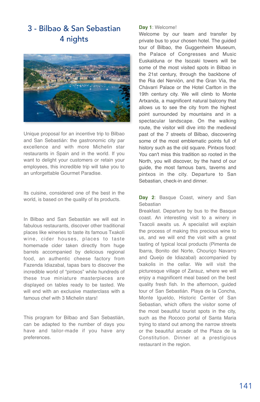# 3 - Bilbao & San Sebastian 4 nights



Unique proposal for an incentive trip to Bilbao and San Sebastián: the gastronomic city par excellence and with more Michelin star restaurants in Spain and in the world. If you want to delight your customers or retain your employees, this incredible trip will take you to an unforgettable Gourmet Paradise.

Its cuisine, considered one of the best in the world, is based on the quality of its products.

In Bilbao and San Sebastián we will eat in fabulous restaurants, discover other traditional places like wineries to taste its famous Txakolí wine, cider houses, places to taste homemade cider taken directly from huge barrels accompanied by delicious regional food, an authentic cheese factory from Fazenda Idiazabal, tapas bars to discover the incredible world of "pintxos" while hundreds of these true miniature masterpieces are displayed on tables ready to be tasted. We will end with an exclusive masterclass with a famous chef with 3 Michelin stars!

This program for Bilbao and San Sebastián, can be adapted to the number of days you have and tailor-made if you have any preferences.

### **Day 1**: Welcome!

Welcome by our team and transfer by private bus to your chosen hotel. The guided tour of Bilbao, the Guggenheim Museum, the Palace of Congresses and Music Euskalduna or the Isozaki towers will be some of the most visited spots in Bilbao in the 21st century, through the backbone of the Ria del Nervión, and the Gran Vía, the Chávarri Palace or the Hotel Carlton in the 19th century city. We will climb to Monte Artxanda, a magnificent natural balcony that allows us to see the city from the highest point surrounded by mountains and in a spectacular landscape. On the walking route, the visitor will dive into the medieval past of the 7 streets of Bilbao, discovering some of the most emblematic points full of history such as the old square. Pintxos food: You can't miss this tradition so rooted in the North, you will discover, by the hand of our guide, the most famous bars, taverns and pintxos in the city. Departure to San Sebastian, check-in and dinner.

Day 2: Basque Coast, winery and San Sebastian

Breakfast. Departure by bus to the Basque coast. An interesting visit to a winery in Txacoli awaits us. A specialist will explain the process of making this precious wine to us, and we will end the visit with a great tasting of typical local products (Pimenta de Ibarra, Bonito del Norte, Chouriço Navarro and Queijo de Idiazabal) accompanied by txakolis in the cellar. We will visit the picturesque village of Zarauz, where we will enjoy a magnificent meal based on the best quality fresh fish. In the afternoon, guided tour of San Sebastián. Playa de la Concha, Monte Igueldo, Historic Center of San Sebastian, which offers the visitor some of the most beautiful tourist spots in the city, such as the Rococo portal of Santa Maria trying to stand out among the narrow streets or the beautiful arcade of the Plaza de la Constitution. Dinner at a prestigious restaurant in the region.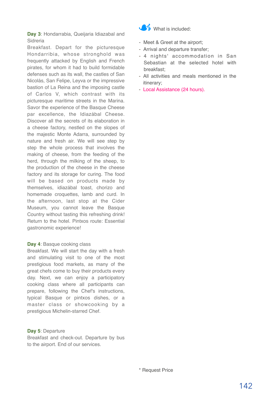**Day 3**: Hondarrabia, Queijaria Idiazabal and Sidreria

Breakfast. Depart for the picturesque Hondarribia, whose stronghold was frequently attacked by English and French pirates, for whom it had to build formidable defenses such as its wall, the castles of San Nicolás, San Felipe, Leyva or the impressive bastion of La Reina and the imposing castle of Carlos V, which contrast with its picturesque maritime streets in the Marina. Savor the experience of the Basque Cheese par excellence, the Idiazábal Cheese. Discover all the secrets of its elaboration in a cheese factory, nestled on the slopes of the majestic Monte Adarra, surrounded by nature and fresh air. We will see step by step the whole process that involves the making of cheese, from the feeding of the herd, through the milking of the sheep, to the production of the cheese in the cheese factory and its storage for curing. The food will be based on products made by themselves, idiazábal toast, chorizo and homemade croquettes, lamb and curd. In the afternoon, last stop at the Cider Museum, you cannot leave the Basque Country without tasting this refreshing drink! Return to the hotel. Pintxos route: Essential gastronomic experience!

## **Day 4**: Basque cooking class

Breakfast. We will start the day with a fresh and stimulating visit to one of the most prestigious food markets, as many of the great chefs come to buy their products every day. Next, we can enjoy a participatory cooking class where all participants can prepare, following the Chef's instructions, typical Basque or pintxos dishes, or a master class or showcooking by a prestigious Michelin-starred Chef.

#### **Day 5**: Departure

Breakfast and check-out. Departure by bus to the airport. End of our services.



## What is included:

- Meet & Greet at the airport;
- Arrival and departure transfer;
- 4 nights' accommodation in San Sebastian at the selected hotel with breakfast;
- All activities and meals mentioned in the itinerary;
- Local Assistance (24 hours).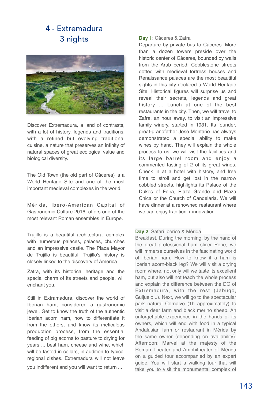# 4 - Extremadura 3 nights



Discover Extremadura, a land of contrasts, with a lot of history, legends and traditions, with a refined but evolving traditional cuisine, a nature that preserves an infinity of natural spaces of great ecological value and biological diversity.

The Old Town (the old part of Cáceres) is a World Heritage Site and one of the most important medieval complexes in the world.

Mérida, Ibero-American Capital of Gastronomic Culture 2016, offers one of the most relevant Roman ensembles in Europe.

Trujillo is a beautiful architectural complex with numerous palaces, palaces, churches and an impressive castle. The Plaza Mayor de Trujillo is beautiful. Trujillo's history is closely linked to the discovery of America.

Zafra, with its historical heritage and the special charm of its streets and people, will enchant you.

Still in Extramadura, discover the world of Iberian ham, considered a gastronomic jewel. Get to know the truth of the authentic Iberian acorn ham, how to differentiate it from the others, and know its meticulous production process, from the essential feeding of pig acorns to pasture to drying for years ... best ham, cheese and wine, which will be tasted in cellars, in addition to typical regional dishes. Extremadura will not leave

you indifferent and you will want to return ...

## **Day 1**: Cáceres & Zafra

Departure by private bus to Cáceres. More than a dozen towers preside over the historic center of Cáceres, bounded by walls from the Arab period. Cobblestone streets dotted with medieval fortress houses and Renaissance palaces are the most beautiful sights in this city declared a World Heritage Site. Historical figures will surprise us and reveal their secrets, legends and great history ... Lunch at one of the best restaurants in the city. Then, we will travel to Zafra, an hour away, to visit an impressive family winery, started in 1931. Its founder, great-grandfather José Montaño has always demonstrated a special ability to make wines by hand. They will explain the whole process to us, we will visit the facilities and its large barrel room and enjoy a commented tasting of 2 of its great wines. Check in at a hotel with history, and free time to stroll and get lost in the narrow cobbled streets, highlights its Palace of the Dukes of Feira, Plaza Grande and Plaza Chica or the Church of Candelária. We will have dinner at a renowned restaurant where we can enjoy tradition + innovation.

#### **Day 2**: Safari Ibérico & Mérida

Breakfast. During the morning, by the hand of the great professional ham slicer Pepe, we will immerse ourselves in the fascinating world of Iberian ham. How to know if a ham is Iberian acorn-black leg? We will visit a drying room where, not only will we taste its excellent ham, but also will not teach the whole process and explain the difference between the DO of Extremadura, with the rest (Jabugo, Guijuelo ..). Next, we will go to the spectacular park natural Cornalvo (1h approximately) to visit a deer farm and black merino sheep. An unforgettable experience in the hands of its owners, which will end with food in a typical Andalusian farm or restaurant in Mérida by the same owner (depending on availability). Afternoon: Marvel at the majesty of the Roman Theater and Amphitheater of Mérida on a guided tour accompanied by an expert guide. You will start a walking tour that will take you to visit the monumental complex of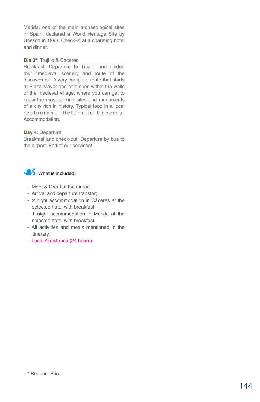Mérida, one of the main archaeological sites in Spain, declared a World Heritage Site by Unesco in 1993. Check-in at a charming hotel and dinner.

### **Dia 3º**: Trujillo & Cáceres

Breakfast. Departure to Trujillo and guided tour "medieval scenery and route of the discoverers". A very complete route that starts at Plaza Mayor and continues within the walls of the medieval village, where you can get to know the most striking sites and monuments of a city rich in history. Typical food in a local restaurant. Return to Cáceres. Accommodation.

## **Day 4**: Departure

Breakfast and check-out. Departure by bus to the airport. End of our services!



- Meet & Greet at the airport;
- Arrival and departure transfer;
- 2 night accommodation in Cáceres at the selected hotel with breakfast;
- 1 night accommodation in Mérida at the selected hotel with breakfast;
- All activities and meals mentioned in the itinerary;
- Local Assistance (24 hours).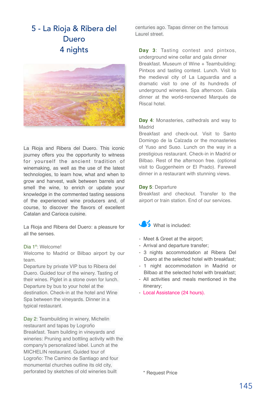# 5 - La Rioja & Ribera del Duero 4 nights



La Rioja and Ribera del Duero. This iconic journey offers you the opportunity to witness for yourself the ancient tradition of winemaking, as well as the use of the latest technologies, to learn how, what and when to grow and harvest, walk between barrels and smell the wine, to enrich or update your knowledge in the commented tasting sessions of the experienced wine producers and, of course, to discover the flavors of excellent Catalan and Carioca cuisine.

La Rioja and Ribera del Duero: a pleasure for all the senses.

## Dia 1º: Welcome!

Welcome to Madrid or Bilbao airport by our team.

Departure by private VIP bus to Ribera del Duero. Guided tour of the winery. Tasting of their wines. Piglet in a stone oven for lunch. Departure by bus to your hotel at the destination. Check-in at the hotel and Wine Spa between the vineyards. Dinner in a typical restaurant.

Day 2: Teambuilding in winery, Michelin restaurant and tapas by Logroño Breakfast. Team building in vineyards and wineries: Pruning and bottling activity with the company's personalized label. Lunch at the MICHELIN restaurant. Guided tour of Logroño: The Camino de Santiago and four monumental churches outline its old city, perforated by sketches of old wineries built

centuries ago. Tapas dinner on the famous Laurel street.

**Day 3**: Tasting contest and pintxos, underground wine cellar and gala dinner Breakfast. Museum of Wine + Teambuilding: Pintxos and tasting contest. Lunch. Visit to the medieval city of La Laguardia and a dramatic visit to one of its hundreds of underground wineries. Spa afternoon. Gala dinner at the world-renowned Marqués de Riscal hotel.

## **Day 4**: Monasteries, cathedrals and way to Madrid

Breakfast and check-out. Visit to Santo Domingo de la Calzada or the monasteries of Yuso and Suso. Lunch on the way in a prestigious restaurant. Check-in in Madrid or Bilbao. Rest of the afternoon free. (optional visit to Guggenheim or El Prado). Farewell dinner in a restaurant with stunning views.

## **Day 5**: Departure

Breakfast and checkout. Transfer to the airport or train station. End of our services.

## What is included:

- Meet & Greet at the airport;
- Arrival and departure transfer;
- 3 nights accommodation at Ribera Del Duero at the selected hotel with breakfast;
- 1 night accommodation in Madrid or Bilbao at the selected hotel with breakfast;
- All activities and meals mentioned in the itinerary;
- Local Assistance (24 hours).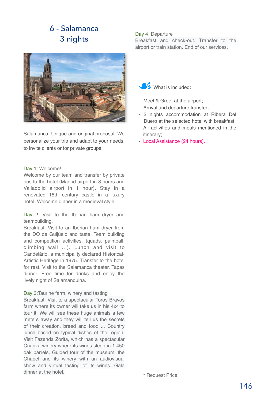# 6 - Salamanca 3 nights



Salamanca. Unique and original proposal. We personalize your trip and adapt to your needs, to invite clients or for private groups.

#### Day 1: Welcome!

Welcome by our team and transfer by private bus to the hotel (Madrid airport in 3 hours and Valladolid airport in 1 hour). Stay in a renovated 15th century castle in a luxury hotel. Welcome dinner in a medieval style.

Day 2: Visit to the Iberian ham dryer and teambuilding.

Breakfast. Visit to an Iberian ham dryer from the DO de Guijüelo and taste. Team building and competition activities. (quads, paintball, climbing wall ...). Lunch and visit to Candelário, a municipality declared Historical-Artistic Heritage in 1975. Transfer to the hotel for rest. Visit to the Salamanca theater. Tapas dinner. Free time for drinks and enjoy the lively night of Salamanquina.

## Day 3:Taurine farm, winery and tasting

Breakfast. Visit to a spectacular Toros Bravos farm where its owner will take us in his 4x4 to tour it. We will see these huge animals a few meters away and they will tell us the secrets of their creation, breed and food ... Country lunch based on typical dishes of the region. Visit Fazenda Zorita, which has a spectacular Crianza winery where its wines sleep in 1,450 oak barrels. Guided tour of the museum, the Chapel and its winery with an audiovisual show and virtual tasting of its wines. Gala dinner at the hotel.

## Day 4: Departure

Breakfast and check-out. Transfer to the airport or train station. End of our services.

**S** What is included:

- Meet & Greet at the airport;
- Arrival and departure transfer;
- 3 nights accommodation at Ribera Del Duero at the selected hotel with breakfast;
- All activities and meals mentioned in the itinerary;
- Local Assistance (24 hours).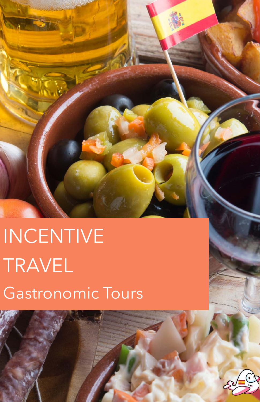# INCENTIVE TRAVEL Gastronomic Tours

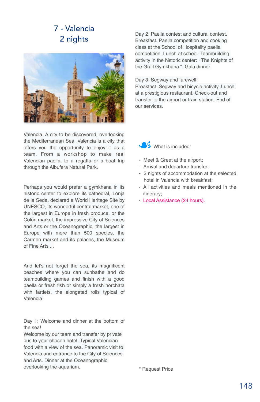# 7 - Valencia 2 nights



Valencia. A city to be discovered, overlooking the Mediterranean Sea, Valencia is a city that offers you the opportunity to enjoy it as a team. From a workshop to make real Valencian paella, to a regatta or a boat trip through the Albufera Natural Park.

Perhaps you would prefer a gymkhana in its historic center to explore its cathedral, Lonja de la Seda, declared a World Heritage Site by UNESCO, its wonderful central market, one of the largest in Europe in fresh produce, or the Colón market, the impressive City of Sciences and Arts or the Oceanographic, the largest in Europe with more than 500 species, the Carmen market and its palaces, the Museum of Fine Arts ...

And let's not forget the sea, its magnificent beaches where you can sunbathe and do teambuilding games and finish with a good paella or fresh fish or simply a fresh horchata with fartlets, the elongated rolls typical of Valencia.

Day 1: Welcome and dinner at the bottom of the sea!

Welcome by our team and transfer by private bus to your chosen hotel. Typical Valencian food with a view of the sea. Panoramic visit to Valencia and entrance to the City of Sciences and Arts. Dinner at the Oceanographic overlooking the aquarium.

Day 2: Paella contest and cultural contest. Breakfast. Paella competition and cooking class at the School of Hospitality paella competition. Lunch at school. Teambuilding activity in the historic center: · The Knights of the Grail Gymkhana ". Gala dinner.

Day 3: Segway and farewell!

Breakfast. Segway and bicycle activity. Lunch at a prestigious restaurant. Check-out and transfer to the airport or train station. End of our services.



- Meet & Greet at the airport;
- Arrival and departure transfer;
- 3 nights of accommodation at the selected hotel in Valencia with breakfast;
- All activities and meals mentioned in the itinerary;
- Local Assistance (24 hours).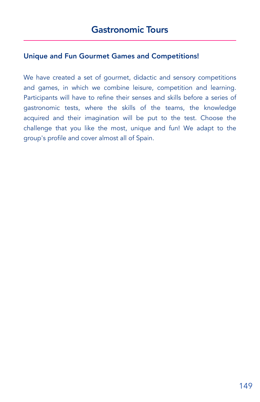## Unique and Fun Gourmet Games and Competitions!

We have created a set of gourmet, didactic and sensory competitions and games, in which we combine leisure, competition and learning. Participants will have to refine their senses and skills before a series of gastronomic tests, where the skills of the teams, the knowledge acquired and their imagination will be put to the test. Choose the challenge that you like the most, unique and fun! We adapt to the group's profile and cover almost all of Spain.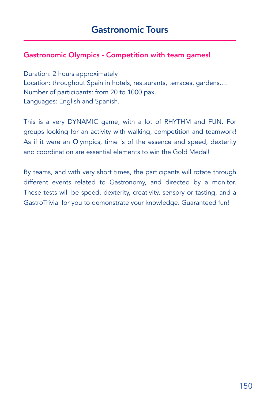## Gastronomic Olympics - Competition with team games!

Duration: 2 hours approximately Location: throughout Spain in hotels, restaurants, terraces, gardens…. Number of participants: from 20 to 1000 pax. Languages: English and Spanish.

This is a very DYNAMIC game, with a lot of RHYTHM and FUN. For groups looking for an activity with walking, competition and teamwork! As if it were an Olympics, time is of the essence and speed, dexterity and coordination are essential elements to win the Gold Medal!

By teams, and with very short times, the participants will rotate through different events related to Gastronomy, and directed by a monitor. These tests will be speed, dexterity, creativity, sensory or tasting, and a GastroTrivial for you to demonstrate your knowledge. Guaranteed fun!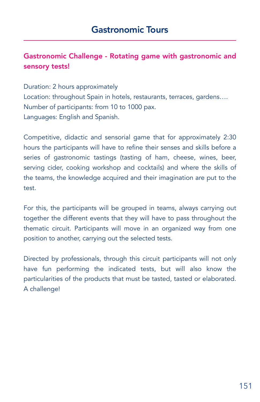# Gastronomic Challenge - Rotating game with gastronomic and sensory tests!

Duration: 2 hours approximately Location: throughout Spain in hotels, restaurants, terraces, gardens…. Number of participants: from 10 to 1000 pax. Languages: English and Spanish.

Competitive, didactic and sensorial game that for approximately 2:30 hours the participants will have to refine their senses and skills before a series of gastronomic tastings (tasting of ham, cheese, wines, beer, serving cider, cooking workshop and cocktails) and where the skills of the teams, the knowledge acquired and their imagination are put to the test.

For this, the participants will be grouped in teams, always carrying out together the different events that they will have to pass throughout the thematic circuit. Participants will move in an organized way from one position to another, carrying out the selected tests.

Directed by professionals, through this circuit participants will not only have fun performing the indicated tests, but will also know the particularities of the products that must be tasted, tasted or elaborated. A challenge!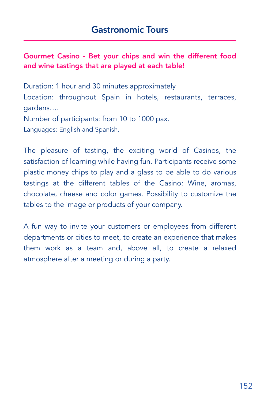# Gourmet Casino - Bet your chips and win the different food and wine tastings that are played at each table!

Duration: 1 hour and 30 minutes approximately Location: throughout Spain in hotels, restaurants, terraces, gardens…. Number of participants: from 10 to 1000 pax. Languages: English and Spanish.

The pleasure of tasting, the exciting world of Casinos, the satisfaction of learning while having fun. Participants receive some plastic money chips to play and a glass to be able to do various tastings at the different tables of the Casino: Wine, aromas, chocolate, cheese and color games. Possibility to customize the tables to the image or products of your company.

A fun way to invite your customers or employees from different departments or cities to meet, to create an experience that makes them work as a team and, above all, to create a relaxed atmosphere after a meeting or during a party.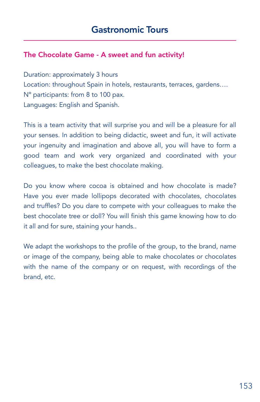## The Chocolate Game - A sweet and fun activity!

Duration: approximately 3 hours Location: throughout Spain in hotels, restaurants, terraces, gardens…. Nº participants: from 8 to 100 pax. Languages: English and Spanish.

This is a team activity that will surprise you and will be a pleasure for all your senses. In addition to being didactic, sweet and fun, it will activate your ingenuity and imagination and above all, you will have to form a good team and work very organized and coordinated with your colleagues, to make the best chocolate making.

Do you know where cocoa is obtained and how chocolate is made? Have you ever made lollipops decorated with chocolates, chocolates and truffles? Do you dare to compete with your colleagues to make the best chocolate tree or doll? You will finish this game knowing how to do it all and for sure, staining your hands..

We adapt the workshops to the profile of the group, to the brand, name or image of the company, being able to make chocolates or chocolates with the name of the company or on request, with recordings of the brand, etc.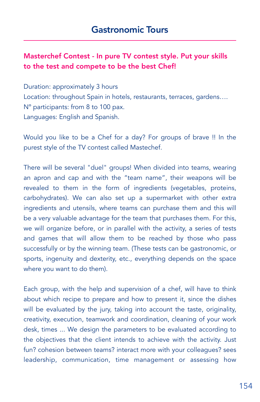# Masterchef Contest - In pure TV contest style. Put your skills to the test and compete to be the best Chef!

Duration: approximately 3 hours Location: throughout Spain in hotels, restaurants, terraces, gardens…. Nº participants: from 8 to 100 pax. Languages: English and Spanish.

Would you like to be a Chef for a day? For groups of brave !! In the purest style of the TV contest called Mastechef.

There will be several "duel" groups! When divided into teams, wearing an apron and cap and with the "team name", their weapons will be revealed to them in the form of ingredients (vegetables, proteins, carbohydrates). We can also set up a supermarket with other extra ingredients and utensils, where teams can purchase them and this will be a very valuable advantage for the team that purchases them. For this, we will organize before, or in parallel with the activity, a series of tests and games that will allow them to be reached by those who pass successfully or by the winning team. (These tests can be gastronomic, or sports, ingenuity and dexterity, etc., everything depends on the space where you want to do them).

Each group, with the help and supervision of a chef, will have to think about which recipe to prepare and how to present it, since the dishes will be evaluated by the jury, taking into account the taste, originality, creativity, execution, teamwork and coordination, cleaning of your work desk, times ... We design the parameters to be evaluated according to the objectives that the client intends to achieve with the activity. Just fun? cohesion between teams? interact more with your colleagues? sees leadership, communication, time management or assessing how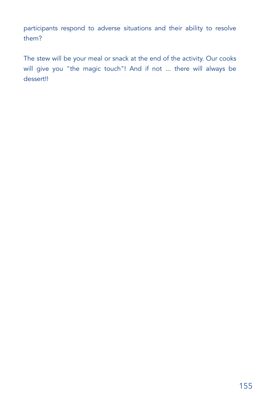participants respond to adverse situations and their ability to resolve them?

The stew will be your meal or snack at the end of the activity. Our cooks will give you "the magic touch"! And if not ... there will always be dessert!!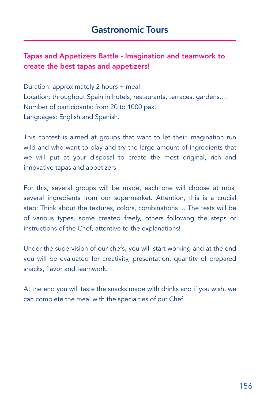# Tapas and Appetizers Battle - Imagination and teamwork to create the best tapas and appetizers!

Duration: approximately 2 hours + meal Location: throughout Spain in hotels, restaurants, terraces, gardens…. Number of participants: from 20 to 1000 pax. Languages: English and Spanish.

This contest is aimed at groups that want to let their imagination run wild and who want to play and try the large amount of ingredients that we will put at your disposal to create the most original, rich and innovative tapas and appetizers.

For this, several groups will be made, each one will choose at most several ingredients from our supermarket. Attention, this is a crucial step: Think about the textures, colors, combinations ... The tests will be of various types, some created freely, others following the steps or instructions of the Chef, attentive to the explanations!

Under the supervision of our chefs, you will start working and at the end you will be evaluated for creativity, presentation, quantity of prepared snacks, flavor and teamwork.

At the end you will taste the snacks made with drinks and if you wish, we can complete the meal with the specialties of our Chef.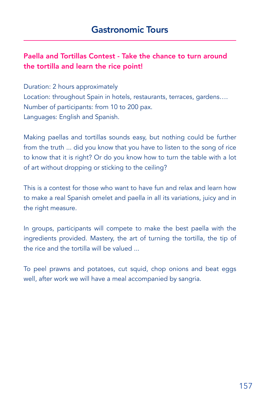## Paella and Tortillas Contest - Take the chance to turn around the tortilla and learn the rice point!

Duration: 2 hours approximately Location: throughout Spain in hotels, restaurants, terraces, gardens…. Number of participants: from 10 to 200 pax. Languages: English and Spanish.

Making paellas and tortillas sounds easy, but nothing could be further from the truth ... did you know that you have to listen to the song of rice to know that it is right? Or do you know how to turn the table with a lot of art without dropping or sticking to the ceiling?

This is a contest for those who want to have fun and relax and learn how to make a real Spanish omelet and paella in all its variations, juicy and in the right measure.

In groups, participants will compete to make the best paella with the ingredients provided. Mastery, the art of turning the tortilla, the tip of the rice and the tortilla will be valued ...

To peel prawns and potatoes, cut squid, chop onions and beat eggs well, after work we will have a meal accompanied by sangria.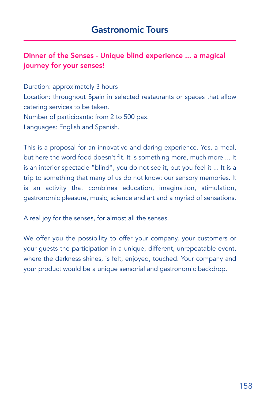# Dinner of the Senses - Unique blind experience ... a magical journey for your senses!

Duration: approximately 3 hours Location: throughout Spain in selected restaurants or spaces that allow catering services to be taken. Number of participants: from 2 to 500 pax. Languages: English and Spanish.

This is a proposal for an innovative and daring experience. Yes, a meal, but here the word food doesn't fit. It is something more, much more ... It is an interior spectacle "blind", you do not see it, but you feel it ... It is a trip to something that many of us do not know: our sensory memories. It is an activity that combines education, imagination, stimulation, gastronomic pleasure, music, science and art and a myriad of sensations.

A real joy for the senses, for almost all the senses.

We offer you the possibility to offer your company, your customers or your guests the participation in a unique, different, unrepeatable event, where the darkness shines, is felt, enjoyed, touched. Your company and your product would be a unique sensorial and gastronomic backdrop.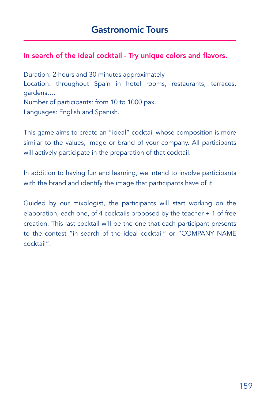## In search of the ideal cocktail - Try unique colors and flavors.

Duration: 2 hours and 30 minutes approximately Location: throughout Spain in hotel rooms, restaurants, terraces, gardens…. Number of participants: from 10 to 1000 pax. Languages: English and Spanish.

This game aims to create an "ideal" cocktail whose composition is more similar to the values, image or brand of your company. All participants will actively participate in the preparation of that cocktail.

In addition to having fun and learning, we intend to involve participants with the brand and identify the image that participants have of it.

Guided by our mixologist, the participants will start working on the elaboration, each one, of 4 cocktails proposed by the teacher + 1 of free creation. This last cocktail will be the one that each participant presents to the contest "in search of the ideal cocktail" or "COMPANY NAME cocktail".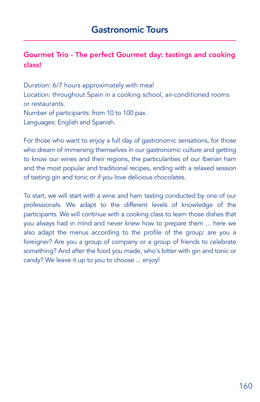# Gourmet Trio - The perfect Gourmet day: tastings and cooking class!

Duration: 6/7 hours approximately with meal Location: throughout Spain in a cooking school, air-conditioned rooms or restaurants. Number of participants: from 10 to 100 pax. Languages: English and Spanish.

For those who want to enjoy a full day of gastronomic sensations, for those who dream of immersing themselves in our gastronomic culture and getting to know our wines and their regions, the particularities of our Iberian ham and the most popular and traditional recipes, ending with a relaxed session of tasting gin and tonic or if you love delicious chocolates.

To start, we will start with a wine and ham tasting conducted by one of our professionals. We adapt to the different levels of knowledge of the participants. We will continue with a cooking class to learn those dishes that you always had in mind and never knew how to prepare them ... here we also adapt the menus according to the profile of the group: are you a foreigner? Are you a group of company or a group of friends to celebrate something? And after the food you made, who's bitter with gin and tonic or candy? We leave it up to you to choose ... enjoy!